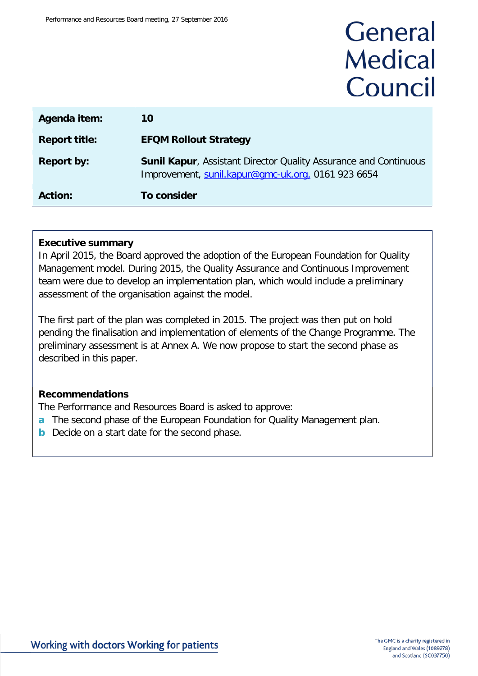# General **Medical** Council

| Agenda item:         | 10                                                                                                                            |
|----------------------|-------------------------------------------------------------------------------------------------------------------------------|
| <b>Report title:</b> | <b>EFQM Rollout Strategy</b>                                                                                                  |
| <b>Report by:</b>    | <b>Sunil Kapur, Assistant Director Quality Assurance and Continuous</b><br>Improvement, sunil.kapur@gmc-uk.org, 0161 923 6654 |
| <b>Action:</b>       | To consider                                                                                                                   |

#### **Executive summary**

In April 2015, the Board approved the adoption of the European Foundation for Quality Management model. During 2015, the Quality Assurance and Continuous Improvement team were due to develop an implementation plan, which would include a preliminary assessment of the organisation against the model.

The first part of the plan was completed in 2015. The project was then put on hold pending the finalisation and implementation of elements of the Change Programme. The preliminary assessment is at Annex A. We now propose to start the second phase as described in this paper.

#### **Recommendations**

The Performance and Resources Board is asked to approve:

- **a** The second phase of the European Foundation for Quality Management plan.
- **b** Decide on a start date for the second phase.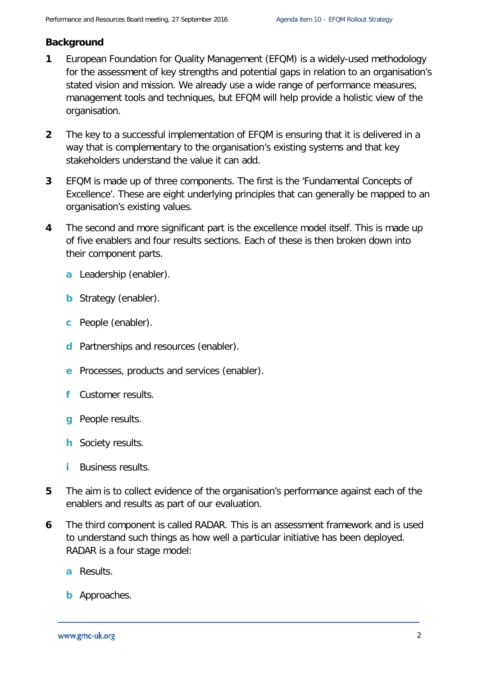#### **Background**

- **1** European Foundation for Quality Management (EFQM) is a widely-used methodology for the assessment of key strengths and potential gaps in relation to an organisation's stated vision and mission. We already use a wide range of performance measures, management tools and techniques, but EFQM will help provide a holistic view of the organisation.
- **2** The key to a successful implementation of EFQM is ensuring that it is delivered in a way that is complementary to the organisation's existing systems and that key stakeholders understand the value it can add.
- **3** EFQM is made up of three components. The first is the 'Fundamental Concepts of Excellence'. These are eight underlying principles that can generally be mapped to an organisation's existing values.
- **4** The second and more significant part is the excellence model itself. This is made up of five enablers and four results sections. Each of these is then broken down into their component parts.
	- **a** Leadership (enabler).
	- **b** Strategy (enabler).
	- **c** People (enabler).
	- **d** Partnerships and resources (enabler).
	- **e** Processes, products and services (enabler).
	- **f** Customer results.
	- **g** People results.
	- **h** Society results.
	- **i** Business results.
- **5** The aim is to collect evidence of the organisation's performance against each of the enablers and results as part of our evaluation.
- **6** The third component is called RADAR. This is an assessment framework and is used to understand such things as how well a particular initiative has been deployed. RADAR is a four stage model:
	- **a** Results.
	- **b** Approaches.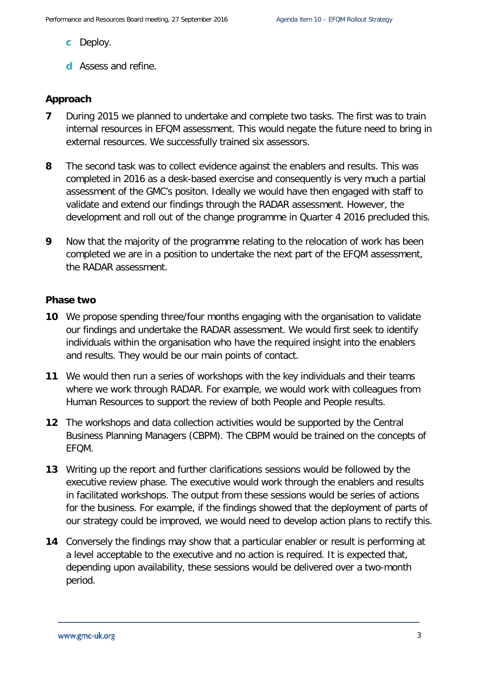- **c** Deploy.
- **d** Assess and refine.

#### **Approach**

- **7** During 2015 we planned to undertake and complete two tasks. The first was to train internal resources in EFQM assessment. This would negate the future need to bring in external resources. We successfully trained six assessors.
- **8** The second task was to collect evidence against the enablers and results. This was completed in 2016 as a desk-based exercise and consequently is very much a partial assessment of the GMC's positon. Ideally we would have then engaged with staff to validate and extend our findings through the RADAR assessment. However, the development and roll out of the change programme in Quarter 4 2016 precluded this.
- **9** Now that the majority of the programme relating to the relocation of work has been completed we are in a position to undertake the next part of the EFQM assessment, the RADAR assessment.

#### **Phase two**

- **10** We propose spending three/four months engaging with the organisation to validate our findings and undertake the RADAR assessment. We would first seek to identify individuals within the organisation who have the required insight into the enablers and results. They would be our main points of contact.
- **11** We would then run a series of workshops with the key individuals and their teams where we work through RADAR. For example, we would work with colleagues from Human Resources to support the review of both People and People results.
- **12** The workshops and data collection activities would be supported by the Central Business Planning Managers (CBPM). The CBPM would be trained on the concepts of EFQM.
- **13** Writing up the report and further clarifications sessions would be followed by the executive review phase. The executive would work through the enablers and results in facilitated workshops. The output from these sessions would be series of actions for the business. For example, if the findings showed that the deployment of parts of our strategy could be improved, we would need to develop action plans to rectify this.
- **14** Conversely the findings may show that a particular enabler or result is performing at a level acceptable to the executive and no action is required. It is expected that, depending upon availability, these sessions would be delivered over a two-month period.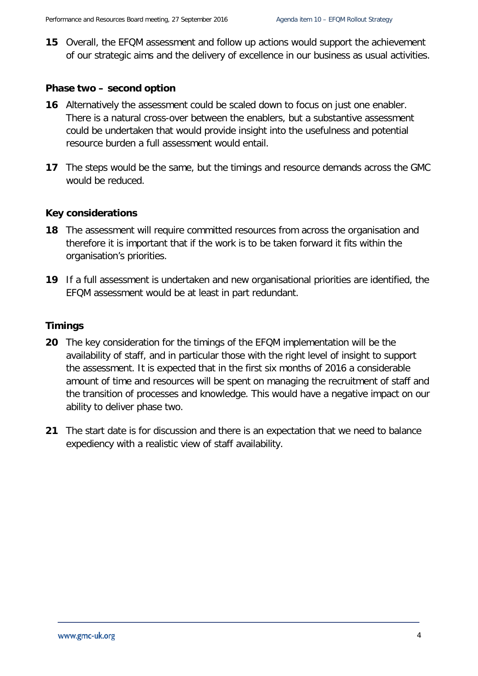**15** Overall, the EFQM assessment and follow up actions would support the achievement of our strategic aims and the delivery of excellence in our business as usual activities.

#### **Phase two – second option**

- **16** Alternatively the assessment could be scaled down to focus on just one enabler. There is a natural cross-over between the enablers, but a substantive assessment could be undertaken that would provide insight into the usefulness and potential resource burden a full assessment would entail.
- **17** The steps would be the same, but the timings and resource demands across the GMC would be reduced.

#### **Key considerations**

- **18** The assessment will require committed resources from across the organisation and therefore it is important that if the work is to be taken forward it fits within the organisation's priorities.
- **19** If a full assessment is undertaken and new organisational priorities are identified, the EFQM assessment would be at least in part redundant.

#### **Timings**

- **20** The key consideration for the timings of the EFQM implementation will be the availability of staff, and in particular those with the right level of insight to support the assessment. It is expected that in the first six months of 2016 a considerable amount of time and resources will be spent on managing the recruitment of staff and the transition of processes and knowledge. This would have a negative impact on our ability to deliver phase two.
- **21** The start date is for discussion and there is an expectation that we need to balance expediency with a realistic view of staff availability.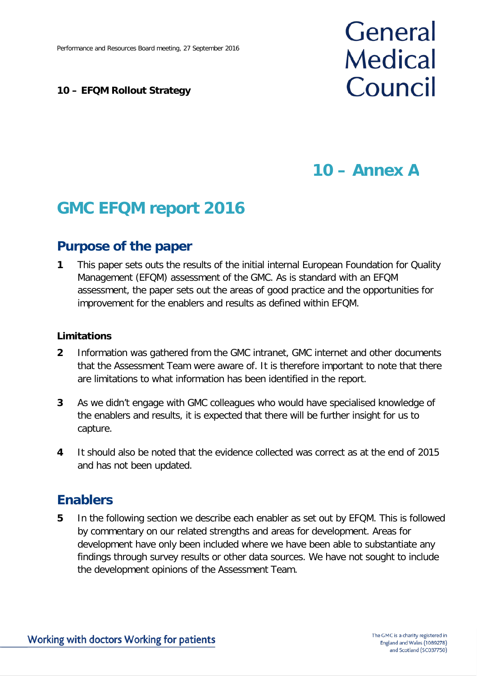#### **10 – EFQM Rollout Strategy**

# General **Medical** Council

# **10 – Annex A**

# **GMC EFQM report 2016**

# **Purpose of the paper**

**1** This paper sets outs the results of the initial internal European Foundation for Quality Management (EFQM) assessment of the GMC. As is standard with an EFQM assessment, the paper sets out the areas of good practice and the opportunities for improvement for the enablers and results as defined within EFQM.

#### **Limitations**

- **2** Information was gathered from the GMC intranet, GMC internet and other documents that the Assessment Team were aware of. It is therefore important to note that there are limitations to what information has been identified in the report.
- **3** As we didn't engage with GMC colleagues who would have specialised knowledge of the enablers and results, it is expected that there will be further insight for us to capture.
- **4** It should also be noted that the evidence collected was correct as at the end of 2015 and has not been updated.

# **Enablers**

**5** In the following section we describe each enabler as set out by EFQM. This is followed by commentary on our related strengths and areas for development. Areas for development have only been included where we have been able to substantiate any findings through survey results or other data sources. We have not sought to include the development opinions of the Assessment Team.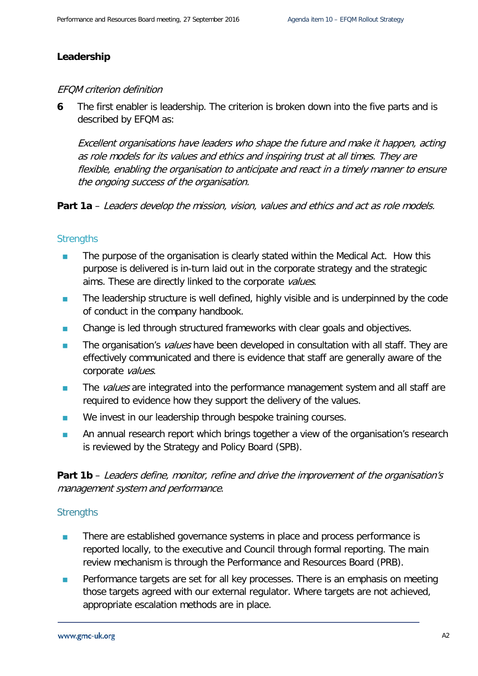#### **Leadership**

#### EFQM criterion definition

**6** The first enabler is leadership. The criterion is broken down into the five parts and is described by EFQM as:

Excellent organisations have leaders who shape the future and make it happen, acting as role models for its values and ethics and inspiring trust at all times. They are flexible, enabling the organisation to anticipate and react in a timely manner to ensure the ongoing success of the organisation.

**Part 1a** – Leaders develop the mission, vision, values and ethics and act as role models.

#### **Strengths**

- The purpose of the organisation is clearly stated within the Medical Act. How this purpose is delivered is in-turn laid out in the corporate strategy and the strategic aims. These are directly linked to the corporate values.
- The leadership structure is well defined, highly visible and is underpinned by the code of conduct in the company handbook.
- Change is led through structured frameworks with clear goals and objectives.
- The organisation's *values* have been developed in consultation with all staff. They are effectively communicated and there is evidence that staff are generally aware of the corporate values.
- The values are integrated into the performance management system and all staff are required to evidence how they support the delivery of the values.
- **No invest in our leadership through bespoke training courses.**
- An annual research report which brings together a view of the organisation's research is reviewed by the Strategy and Policy Board (SPB).

**Part 1b** – Leaders define, monitor, refine and drive the improvement of the organisation's management system and performance.

- **There are established governance systems in place and process performance is** reported locally, to the executive and Council through formal reporting. The main review mechanism is through the Performance and Resources Board (PRB).
- **Performance targets are set for all key processes. There is an emphasis on meeting** those targets agreed with our external regulator. Where targets are not achieved, appropriate escalation methods are in place.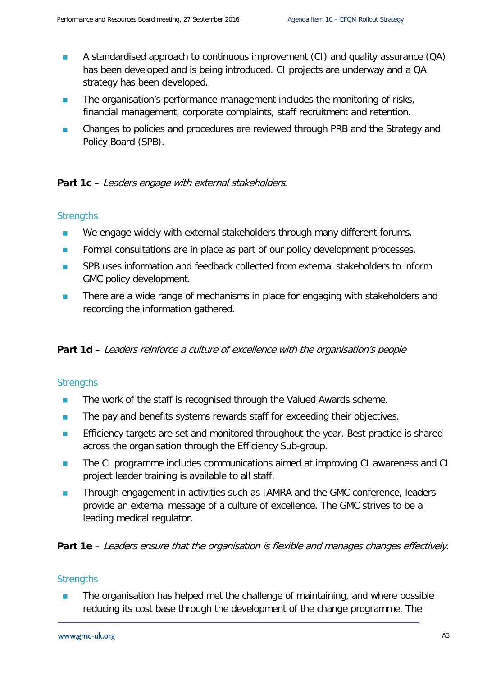- **A** standardised approach to continuous improvement (CI) and quality assurance (QA) has been developed and is being introduced. CI projects are underway and a QA strategy has been developed.
- **The organisation's performance management includes the monitoring of risks,** financial management, corporate complaints, staff recruitment and retention.
- **EXECHANGES** Changes to policies and procedures are reviewed through PRB and the Strategy and Policy Board (SPB).

Part 1c – Leaders engage with external stakeholders.

#### **Strengths**

- We engage widely with external stakeholders through many different forums.
- **Formal consultations are in place as part of our policy development processes.**
- **SPB** uses information and feedback collected from external stakeholders to inform GMC policy development.
- **There are a wide range of mechanisms in place for engaging with stakeholders and** recording the information gathered.

**Part 1d** – Leaders reinforce a culture of excellence with the organisation's people

#### **Strengths**

- The work of the staff is recognised through the Valued Awards scheme.
- The pay and benefits systems rewards staff for exceeding their objectives.
- **Efficiency targets are set and monitored throughout the year. Best practice is shared** across the organisation through the Efficiency Sub-group.
- **The CI programme includes communications aimed at improving CI awareness and CI** project leader training is available to all staff.
- **Through engagement in activities such as IAMRA and the GMC conference, leaders** provide an external message of a culture of excellence. The GMC strives to be a leading medical regulator.

**Part 1e** – Leaders ensure that the organisation is flexible and manages changes effectively.

#### **Strengths**

 The organisation has helped met the challenge of maintaining, and where possible reducing its cost base through the development of the change programme. The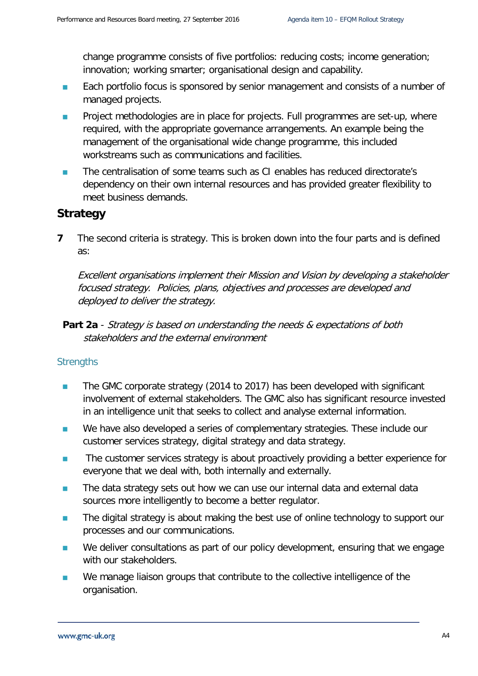change programme consists of five portfolios: reducing costs; income generation; innovation; working smarter; organisational design and capability.

- **Each portfolio focus is sponsored by senior management and consists of a number of** managed projects.
- **Project methodologies are in place for projects. Full programmes are set-up, where** required, with the appropriate governance arrangements. An example being the management of the organisational wide change programme, this included workstreams such as communications and facilities.
- The centralisation of some teams such as CI enables has reduced directorate's dependency on their own internal resources and has provided greater flexibility to meet business demands.

## **Strategy**

**7** The second criteria is strategy. This is broken down into the four parts and is defined as:

Excellent organisations implement their Mission and Vision by developing a stakeholder focused strategy. Policies, plans, objectives and processes are developed and deployed to deliver the strategy.

**Part 2a** - Strategy is based on understanding the needs & expectations of both stakeholders and the external environment

- The GMC corporate strategy (2014 to 2017) has been developed with significant involvement of external stakeholders. The GMC also has significant resource invested in an intelligence unit that seeks to collect and analyse external information.
- We have also developed a series of complementary strategies. These include our customer services strategy, digital strategy and data strategy.
- **The customer services strategy is about proactively providing a better experience for** everyone that we deal with, both internally and externally.
- The data strategy sets out how we can use our internal data and external data sources more intelligently to become a better regulator.
- **The digital strategy is about making the best use of online technology to support our** processes and our communications.
- We deliver consultations as part of our policy development, ensuring that we engage with our stakeholders.
- We manage liaison groups that contribute to the collective intelligence of the organisation.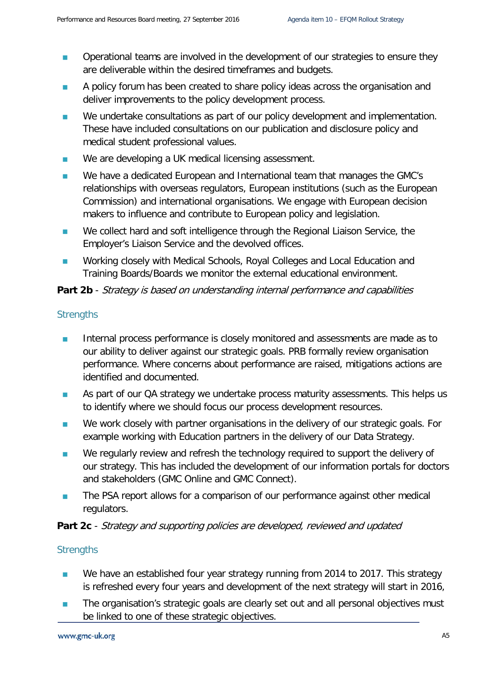- **Operational teams are involved in the development of our strategies to ensure they** are deliverable within the desired timeframes and budgets.
- **A policy forum has been created to share policy ideas across the organisation and** deliver improvements to the policy development process.
- We undertake consultations as part of our policy development and implementation. These have included consultations on our publication and disclosure policy and medical student professional values.
- We are developing a UK medical licensing assessment.
- We have a dedicated European and International team that manages the GMC's relationships with overseas regulators, European institutions (such as the European Commission) and international organisations. We engage with European decision makers to influence and contribute to European policy and legislation.
- We collect hard and soft intelligence through the Regional Liaison Service, the Employer's Liaison Service and the devolved offices.
- **Number 20** Working closely with Medical Schools, Royal Colleges and Local Education and Training Boards/Boards we monitor the external educational environment.

#### **Part 2b** - Strategy is based on understanding internal performance and capabilities

#### **Strengths**

- Internal process performance is closely monitored and assessments are made as to our ability to deliver against our strategic goals. PRB formally review organisation performance. Where concerns about performance are raised, mitigations actions are identified and documented.
- **As part of our QA strategy we undertake process maturity assessments. This helps us** to identify where we should focus our process development resources.
- We work closely with partner organisations in the delivery of our strategic goals. For example working with Education partners in the delivery of our Data Strategy.
- We regularly review and refresh the technology required to support the delivery of our strategy. This has included the development of our information portals for doctors and stakeholders (GMC Online and GMC Connect).
- **The PSA report allows for a comparison of our performance against other medical** regulators.

#### **Part 2c** - Strategy and supporting policies are developed, reviewed and updated

- We have an established four year strategy running from 2014 to 2017. This strategy is refreshed every four years and development of the next strategy will start in 2016,
- The organisation's strategic goals are clearly set out and all personal objectives must be linked to one of these strategic objectives.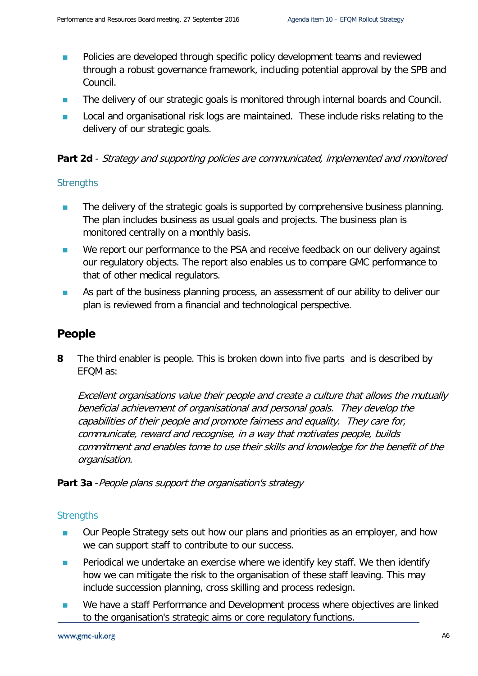- **Policies are developed through specific policy development teams and reviewed** through a robust governance framework, including potential approval by the SPB and Council.
- **The delivery of our strategic goals is monitored through internal boards and Council.**
- **Local and organisational risk logs are maintained.** These include risks relating to the delivery of our strategic goals.

#### **Part 2d** - Strategy and supporting policies are communicated, implemented and monitored

#### **Strengths**

- The delivery of the strategic goals is supported by comprehensive business planning. The plan includes business as usual goals and projects. The business plan is monitored centrally on a monthly basis.
- We report our performance to the PSA and receive feedback on our delivery against our regulatory objects. The report also enables us to compare GMC performance to that of other medical regulators.
- **As part of the business planning process, an assessment of our ability to deliver our** plan is reviewed from a financial and technological perspective.

### **People**

**8** The third enabler is people. This is broken down into five parts and is described by EFQM as:

Excellent organisations value their people and create a culture that allows the mutually beneficial achievement of organisational and personal goals. They develop the capabilities of their people and promote fairness and equality. They care for, communicate, reward and recognise, in a way that motivates people, builds commitment and enables tome to use their skills and knowledge for the benefit of the organisation.

**Part 3a** - People plans support the organisation's strategy

- Our People Strategy sets out how our plans and priorities as an employer, and how we can support staff to contribute to our success.
- **Periodical we undertake an exercise where we identify key staff. We then identify** how we can mitigate the risk to the organisation of these staff leaving. This may include succession planning, cross skilling and process redesign.
- We have a staff Performance and Development process where objectives are linked to the organisation's strategic aims or core regulatory functions.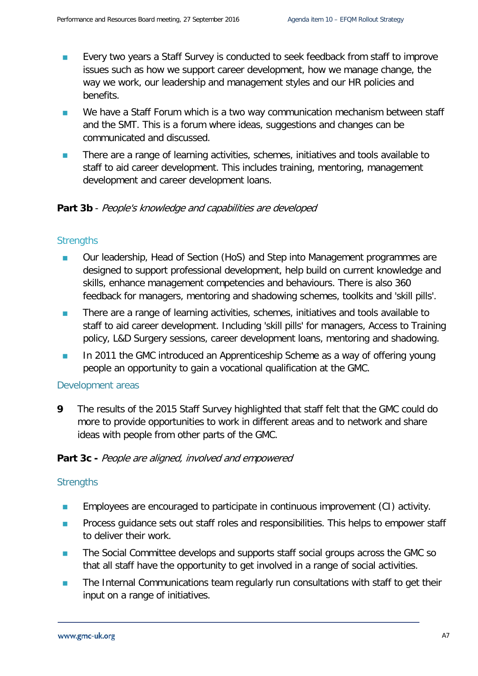- **EVERY TWO YEARS A STAFF SURVEY IS CONDUCTED TO SEEK FEEDBACK FROM STAFF TO IMPROVE** issues such as how we support career development, how we manage change, the way we work, our leadership and management styles and our HR policies and benefits.
- We have a Staff Forum which is a two way communication mechanism between staff and the SMT. This is a forum where ideas, suggestions and changes can be communicated and discussed.
- **There are a range of learning activities, schemes, initiatives and tools available to** staff to aid career development. This includes training, mentoring, management development and career development loans.

#### **Part 3b** - People's knowledge and capabilities are developed

#### **Strengths**

- Our leadership, Head of Section (HoS) and Step into Management programmes are designed to support professional development, help build on current knowledge and skills, enhance management competencies and behaviours. There is also 360 feedback for managers, mentoring and shadowing schemes, toolkits and 'skill pills'.
- **There are a range of learning activities, schemes, initiatives and tools available to** staff to aid career development. Including 'skill pills' for managers, Access to Training policy, L&D Surgery sessions, career development loans, mentoring and shadowing.
- In 2011 the GMC introduced an Apprenticeship Scheme as a way of offering young people an opportunity to gain a vocational qualification at the GMC.

#### Development areas

**9** The results of the 2015 Staff Survey highlighted that staff felt that the GMC could do more to provide opportunities to work in different areas and to network and share ideas with people from other parts of the GMC.

#### Part 3c - People are aligned, involved and empowered

- Employees are encouraged to participate in continuous improvement (CI) activity.
- **Process guidance sets out staff roles and responsibilities. This helps to empower staff** to deliver their work.
- The Social Committee develops and supports staff social groups across the GMC so that all staff have the opportunity to get involved in a range of social activities.
- **The Internal Communications team regularly run consultations with staff to get their** input on a range of initiatives.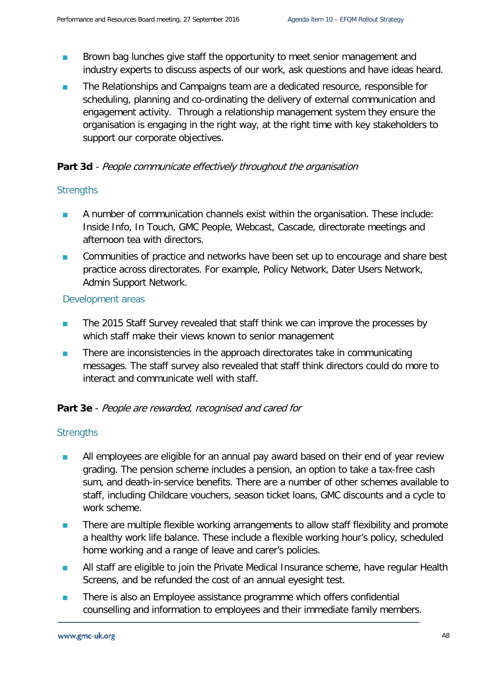- **Brown bag lunches give staff the opportunity to meet senior management and** industry experts to discuss aspects of our work, ask questions and have ideas heard.
- **The Relationships and Campaigns team are a dedicated resource, responsible for** scheduling, planning and co-ordinating the delivery of external communication and engagement activity. Through a relationship management system they ensure the organisation is engaging in the right way, at the right time with key stakeholders to support our corporate objectives.

#### **Part 3d** - People communicate effectively throughout the organisation

#### **Strengths**

- **A** number of communication channels exist within the organisation. These include: Inside Info, In Touch, GMC People, Webcast, Cascade, directorate meetings and afternoon tea with directors.
- **Communities of practice and networks have been set up to encourage and share best** practice across directorates. For example, Policy Network, Dater Users Network, Admin Support Network.

#### Development areas

- **The 2015 Staff Survey revealed that staff think we can improve the processes by** which staff make their views known to senior management
- **There are inconsistencies in the approach directorates take in communicating** messages. The staff survey also revealed that staff think directors could do more to interact and communicate well with staff.

#### **Part 3e** - People are rewarded, recognised and cared for

- All employees are eligible for an annual pay award based on their end of year review grading. The pension scheme includes a pension, an option to take a tax-free cash sum, and death-in-service benefits. There are a number of other schemes available to staff, including Childcare vouchers, season ticket loans, GMC discounts and a cycle to work scheme.
- **There are multiple flexible working arrangements to allow staff flexibility and promote** a healthy work life balance. These include a flexible working hour's policy, scheduled home working and a range of leave and carer's policies.
- **All staff are eligible to join the Private Medical Insurance scheme, have regular Health** Screens, and be refunded the cost of an annual eyesight test.
- **There is also an Employee assistance programme which offers confidential** counselling and information to employees and their immediate family members.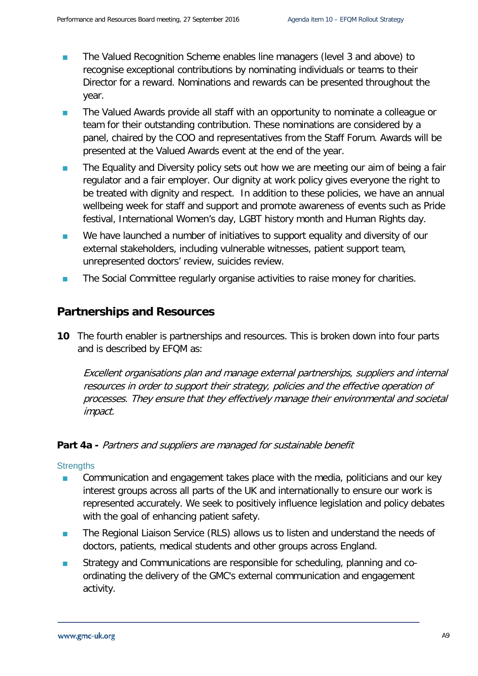- The Valued Recognition Scheme enables line managers (level 3 and above) to recognise exceptional contributions by nominating individuals or teams to their Director for a reward. Nominations and rewards can be presented throughout the year.
- The Valued Awards provide all staff with an opportunity to nominate a colleague or team for their outstanding contribution. These nominations are considered by a panel, chaired by the COO and representatives from the Staff Forum. Awards will be presented at the Valued Awards event at the end of the year.
- **The Equality and Diversity policy sets out how we are meeting our aim of being a fair** regulator and a fair employer. Our dignity at work policy gives everyone the right to be treated with dignity and respect. In addition to these policies, we have an annual wellbeing week for staff and support and promote awareness of events such as Pride festival, International Women's day, LGBT history month and Human Rights day.
- We have launched a number of initiatives to support equality and diversity of our external stakeholders, including vulnerable witnesses, patient support team, unrepresented doctors' review, suicides review.
- **The Social Committee regularly organise activities to raise money for charities.**

### **Partnerships and Resources**

**10** The fourth enabler is partnerships and resources. This is broken down into four parts and is described by EFQM as:

Excellent organisations plan and manage external partnerships, suppliers and internal resources in order to support their strategy, policies and the effective operation of processes. They ensure that they effectively manage their environmental and societal impact.

#### **Part 4a -** Partners and suppliers are managed for sustainable benefit

- **Communication and engagement takes place with the media, politicians and our key** interest groups across all parts of the UK and internationally to ensure our work is represented accurately. We seek to positively influence legislation and policy debates with the goal of enhancing patient safety.
- **The Regional Liaison Service (RLS) allows us to listen and understand the needs of** doctors, patients, medical students and other groups across England.
- Strategy and Communications are responsible for scheduling, planning and coordinating the delivery of the GMC's external communication and engagement activity.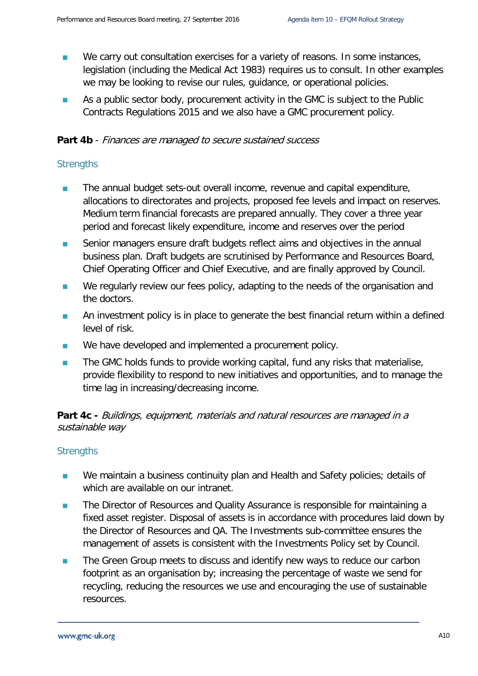- We carry out consultation exercises for a variety of reasons. In some instances, legislation (including the Medical Act 1983) requires us to consult. In other examples we may be looking to revise our rules, guidance, or operational policies.
- As a public sector body, procurement activity in the GMC is subject to the Public Contracts Regulations 2015 and we also have a GMC procurement policy.

#### Part 4b - Finances are managed to secure sustained success

#### **Strengths**

- The annual budget sets-out overall income, revenue and capital expenditure, allocations to directorates and projects, proposed fee levels and impact on reserves. Medium term financial forecasts are prepared annually. They cover a three year period and forecast likely expenditure, income and reserves over the period
- Senior managers ensure draft budgets reflect aims and objectives in the annual business plan. Draft budgets are scrutinised by Performance and Resources Board, Chief Operating Officer and Chief Executive, and are finally approved by Council.
- We regularly review our fees policy, adapting to the needs of the organisation and the doctors.
- An investment policy is in place to generate the best financial return within a defined level of risk.
- We have developed and implemented a procurement policy.
- **The GMC holds funds to provide working capital, fund any risks that materialise,** provide flexibility to respond to new initiatives and opportunities, and to manage the time lag in increasing/decreasing income.

#### **Part 4c -** Buildings, equipment, materials and natural resources are managed in a sustainable way

- We maintain a business continuity plan and Health and Safety policies; details of which are available on our intranet.
- The Director of Resources and Quality Assurance is responsible for maintaining a fixed asset register. Disposal of assets is in accordance with procedures laid down by the Director of Resources and QA. The Investments sub-committee ensures the management of assets is consistent with the Investments Policy set by Council.
- The Green Group meets to discuss and identify new ways to reduce our carbon footprint as an organisation by; increasing the percentage of waste we send for recycling, reducing the resources we use and encouraging the use of sustainable resources.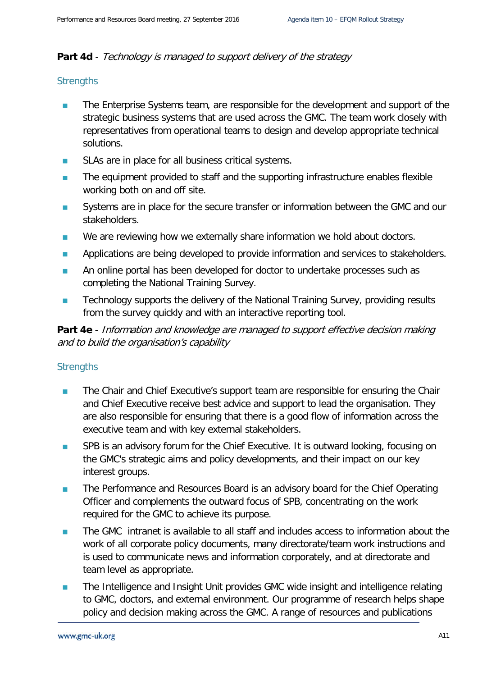#### Part 4d - Technology is managed to support delivery of the strategy

#### **Strengths**

- The Enterprise Systems team, are responsible for the development and support of the strategic business systems that are used across the GMC. The team work closely with representatives from operational teams to design and develop appropriate technical solutions.
- **SLAs are in place for all business critical systems.**
- **The equipment provided to staff and the supporting infrastructure enables flexible** working both on and off site.
- Systems are in place for the secure transfer or information between the GMC and our stakeholders.
- We are reviewing how we externally share information we hold about doctors.
- **Applications are being developed to provide information and services to stakeholders.**
- An online portal has been developed for doctor to undertake processes such as completing the National Training Survey.
- Technology supports the delivery of the National Training Survey, providing results from the survey quickly and with an interactive reporting tool.

**Part 4e** - Information and knowledge are managed to support effective decision making and to build the organisation's capability

- **The Chair and Chief Executive's support team are responsible for ensuring the Chair** and Chief Executive receive best advice and support to lead the organisation. They are also responsible for ensuring that there is a good flow of information across the executive team and with key external stakeholders.
- **SPB** is an advisory forum for the Chief Executive. It is outward looking, focusing on the GMC's strategic aims and policy developments, and their impact on our key interest groups.
- **The Performance and Resources Board is an advisory board for the Chief Operating** Officer and complements the outward focus of SPB, concentrating on the work required for the GMC to achieve its purpose.
- The GMC intranet is available to all staff and includes access to information about the work of all corporate policy documents, many directorate/team work instructions and is used to communicate news and information corporately, and at directorate and team level as appropriate.
- **The Intelligence and Insight Unit provides GMC wide insight and intelligence relating** to GMC, doctors, and external environment. Our programme of research helps shape policy and decision making across the GMC. A range of resources and publications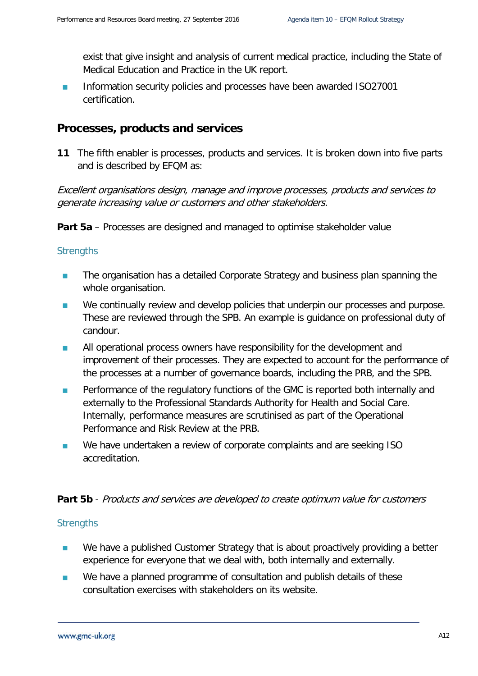exist that give insight and analysis of current medical practice, including the State of Medical Education and Practice in the UK report.

**Information security policies and processes have been awarded ISO27001** certification.

#### **Processes, products and services**

**11** The fifth enabler is processes, products and services. It is broken down into five parts and is described by EFQM as:

Excellent organisations design, manage and improve processes, products and services to generate increasing value or customers and other stakeholders.

**Part 5a** – Processes are designed and managed to optimise stakeholder value

#### **Strengths**

- **The organisation has a detailed Corporate Strategy and business plan spanning the** whole organisation.
- We continually review and develop policies that underpin our processes and purpose. These are reviewed through the SPB. An example is guidance on professional duty of candour.
- **All operational process owners have responsibility for the development and** improvement of their processes. They are expected to account for the performance of the processes at a number of governance boards, including the PRB, and the SPB.
- **Performance of the regulatory functions of the GMC is reported both internally and** externally to the Professional Standards Authority for Health and Social Care. Internally, performance measures are scrutinised as part of the Operational Performance and Risk Review at the PRB.
- We have undertaken a review of corporate complaints and are seeking ISO accreditation.

#### **Part 5b** - Products and services are developed to create optimum value for customers

- We have a published Customer Strategy that is about proactively providing a better experience for everyone that we deal with, both internally and externally.
- We have a planned programme of consultation and publish details of these consultation exercises with stakeholders on its website.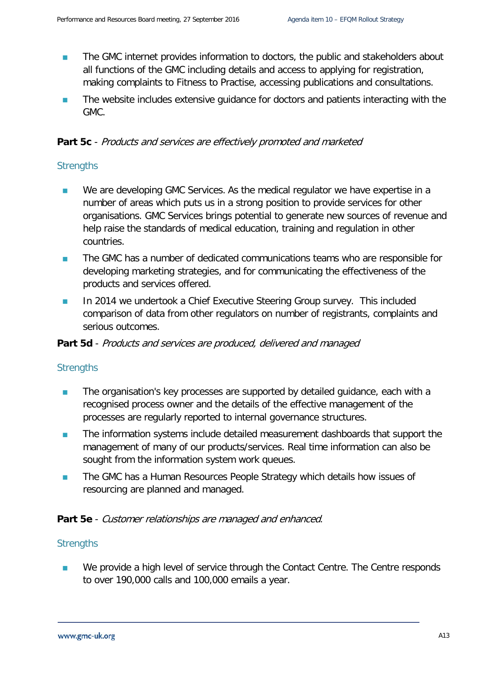- The GMC internet provides information to doctors, the public and stakeholders about all functions of the GMC including details and access to applying for registration, making complaints to Fitness to Practise, accessing publications and consultations.
- The website includes extensive guidance for doctors and patients interacting with the GMC.

#### **Part 5c** - Products and services are effectively promoted and marketed

#### **Strengths**

- We are developing GMC Services. As the medical regulator we have expertise in a number of areas which puts us in a strong position to provide services for other organisations. GMC Services brings potential to generate new sources of revenue and help raise the standards of medical education, training and regulation in other countries.
- **The GMC has a number of dedicated communications teams who are responsible for** developing marketing strategies, and for communicating the effectiveness of the products and services offered.
- **In 2014 we undertook a Chief Executive Steering Group survey. This included** comparison of data from other regulators on number of registrants, complaints and serious outcomes.

#### Part 5d - Products and services are produced, delivered and managed

#### **Strengths**

- The organisation's key processes are supported by detailed guidance, each with a recognised process owner and the details of the effective management of the processes are regularly reported to internal governance structures.
- The information systems include detailed measurement dashboards that support the management of many of our products/services. Real time information can also be sought from the information system work queues.
- **The GMC has a Human Resources People Strategy which details how issues of** resourcing are planned and managed.

#### **Part 5e** - Customer relationships are managed and enhanced.

#### **Strengths**

 We provide a high level of service through the Contact Centre. The Centre responds to over 190,000 calls and 100,000 emails a year.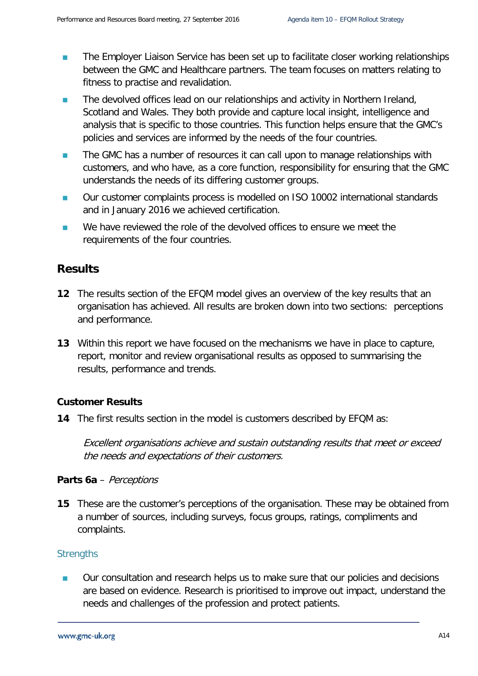- **The Employer Liaison Service has been set up to facilitate closer working relationships** between the GMC and Healthcare partners. The team focuses on matters relating to fitness to practise and revalidation.
- **The devolved offices lead on our relationships and activity in Northern Ireland,** Scotland and Wales. They both provide and capture local insight, intelligence and analysis that is specific to those countries. This function helps ensure that the GMC's policies and services are informed by the needs of the four countries.
- **The GMC has a number of resources it can call upon to manage relationships with** customers, and who have, as a core function, responsibility for ensuring that the GMC understands the needs of its differing customer groups.
- Our customer complaints process is modelled on ISO 10002 international standards and in January 2016 we achieved certification.
- We have reviewed the role of the devolved offices to ensure we meet the requirements of the four countries.

## **Results**

- **12** The results section of the EFQM model gives an overview of the key results that an organisation has achieved. All results are broken down into two sections: perceptions and performance.
- **13** Within this report we have focused on the mechanisms we have in place to capture, report, monitor and review organisational results as opposed to summarising the results, performance and trends.

#### **Customer Results**

**14** The first results section in the model is customers described by EFQM as:

Excellent organisations achieve and sustain outstanding results that meet or exceed the needs and expectations of their customers.

#### **Parts 6a** – Perceptions

**15** These are the customer's perceptions of the organisation. These may be obtained from a number of sources, including surveys, focus groups, ratings, compliments and complaints.

#### **Strengths**

■ Our consultation and research helps us to make sure that our policies and decisions are based on evidence. Research is prioritised to improve out impact, understand the needs and challenges of the profession and protect patients.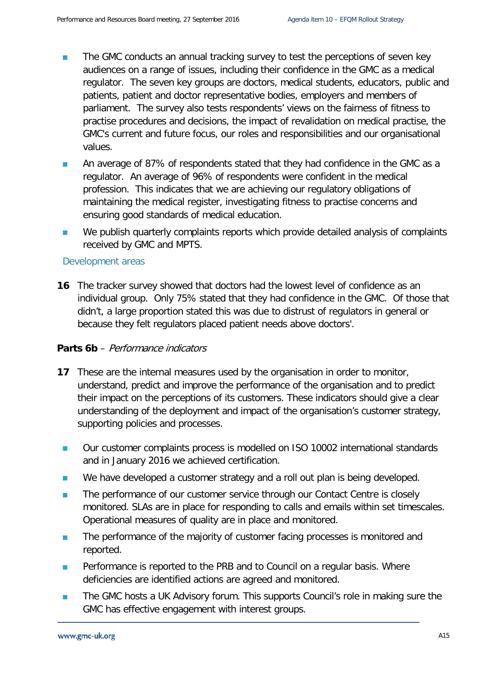- The GMC conducts an annual tracking survey to test the perceptions of seven key audiences on a range of issues, including their confidence in the GMC as a medical regulator. The seven key groups are doctors, medical students, educators, public and patients, patient and doctor representative bodies, employers and members of parliament. The survey also tests respondents' views on the fairness of fitness to practise procedures and decisions, the impact of revalidation on medical practise, the GMC's current and future focus, our roles and responsibilities and our organisational values.
- **An average of 87% of respondents stated that they had confidence in the GMC as a** regulator. An average of 96% of respondents were confident in the medical profession. This indicates that we are achieving our regulatory obligations of maintaining the medical register, investigating fitness to practise concerns and ensuring good standards of medical education.
- We publish quarterly complaints reports which provide detailed analysis of complaints received by GMC and MPTS.

#### Development areas

**16** The tracker survey showed that doctors had the lowest level of confidence as an individual group. Only 75% stated that they had confidence in the GMC. Of those that didn't, a large proportion stated this was due to distrust of regulators in general or because they felt regulators placed patient needs above doctors'.

#### **Parts 6b** – Performance indicators

- **17** These are the internal measures used by the organisation in order to monitor, understand, predict and improve the performance of the organisation and to predict their impact on the perceptions of its customers. These indicators should give a clear understanding of the deployment and impact of the organisation's customer strategy, supporting policies and processes.
- Our customer complaints process is modelled on ISO 10002 international standards and in January 2016 we achieved certification.
- We have developed a customer strategy and a roll out plan is being developed.
- The performance of our customer service through our Contact Centre is closely monitored. SLAs are in place for responding to calls and emails within set timescales. Operational measures of quality are in place and monitored.
- The performance of the majority of customer facing processes is monitored and reported.
- **Performance is reported to the PRB and to Council on a regular basis. Where** deficiencies are identified actions are agreed and monitored.
- **The GMC hosts a UK Advisory forum. This supports Council's role in making sure the** GMC has effective engagement with interest groups.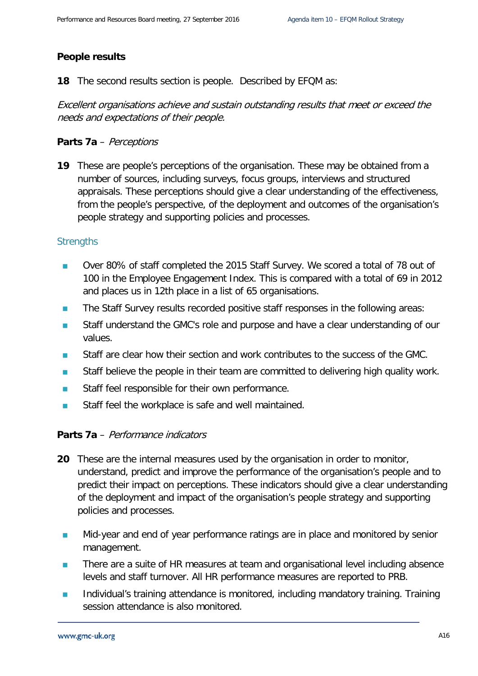#### **People results**

**18** The second results section is people. Described by EFQM as:

Excellent organisations achieve and sustain outstanding results that meet or exceed the needs and expectations of their people.

#### **Parts 7a** – Perceptions

**19** These are people's perceptions of the organisation. These may be obtained from a number of sources, including surveys, focus groups, interviews and structured appraisals. These perceptions should give a clear understanding of the effectiveness, from the people's perspective, of the deployment and outcomes of the organisation's people strategy and supporting policies and processes.

#### **Strengths**

- Over 80% of staff completed the 2015 Staff Survey. We scored a total of 78 out of 100 in the Employee Engagement Index. This is compared with a total of 69 in 2012 and places us in 12th place in a list of 65 organisations.
- The Staff Survey results recorded positive staff responses in the following areas:
- Staff understand the GMC's role and purpose and have a clear understanding of our values.
- **Staff are clear how their section and work contributes to the success of the GMC.**
- **Staff believe the people in their team are committed to delivering high quality work.**
- Staff feel responsible for their own performance.
- Staff feel the workplace is safe and well maintained.

#### **Parts 7a** – Performance indicators

- **20** These are the internal measures used by the organisation in order to monitor, understand, predict and improve the performance of the organisation's people and to predict their impact on perceptions. These indicators should give a clear understanding of the deployment and impact of the organisation's people strategy and supporting policies and processes.
- **Mid-year and end of year performance ratings are in place and monitored by senior** management.
- **There are a suite of HR measures at team and organisational level including absence** levels and staff turnover. All HR performance measures are reported to PRB.
- **Individual's training attendance is monitored, including mandatory training. Training** session attendance is also monitored.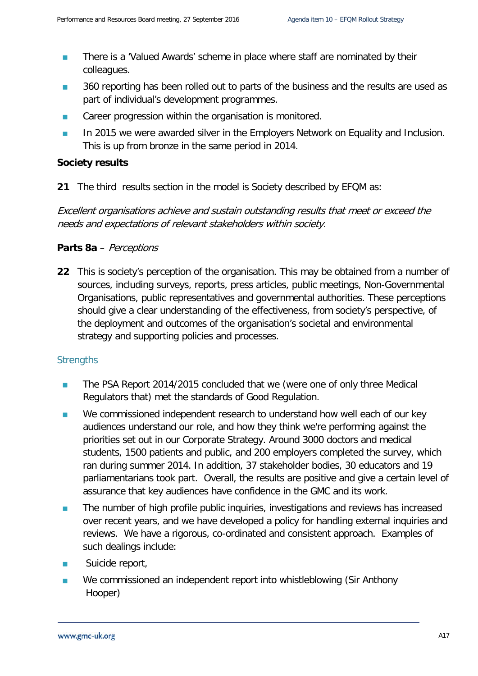- **There is a 'Valued Awards' scheme in place where staff are nominated by their** colleagues.
- 360 reporting has been rolled out to parts of the business and the results are used as part of individual's development programmes.
- Career progression within the organisation is monitored.
- **In 2015 we were awarded silver in the Employers Network on Equality and Inclusion.** This is up from bronze in the same period in 2014.

#### **Society results**

**21** The third results section in the model is Society described by EFQM as:

Excellent organisations achieve and sustain outstanding results that meet or exceed the needs and expectations of relevant stakeholders within society.

#### **Parts 8a** – Perceptions

**22** This is society's perception of the organisation. This may be obtained from a number of sources, including surveys, reports, press articles, public meetings, Non-Governmental Organisations, public representatives and governmental authorities. These perceptions should give a clear understanding of the effectiveness, from society's perspective, of the deployment and outcomes of the organisation's societal and environmental strategy and supporting policies and processes.

- The PSA Report 2014/2015 concluded that we (were one of only three Medical Regulators that) met the standards of Good Regulation.
- We commissioned independent research to understand how well each of our key audiences understand our role, and how they think we're performing against the priorities set out in our Corporate Strategy. Around 3000 doctors and medical students, 1500 patients and public, and 200 employers completed the survey, which ran during summer 2014. In addition, 37 stakeholder bodies, 30 educators and 19 parliamentarians took part. Overall, the results are positive and give a certain level of assurance that key audiences have confidence in the GMC and its work.
- **The number of high profile public inquiries, investigations and reviews has increased** over recent years, and we have developed a policy for handling external inquiries and reviews. We have a rigorous, co-ordinated and consistent approach. Examples of such dealings include:
- **Suicide report,**
- We commissioned an independent report into whistleblowing (Sir Anthony Hooper)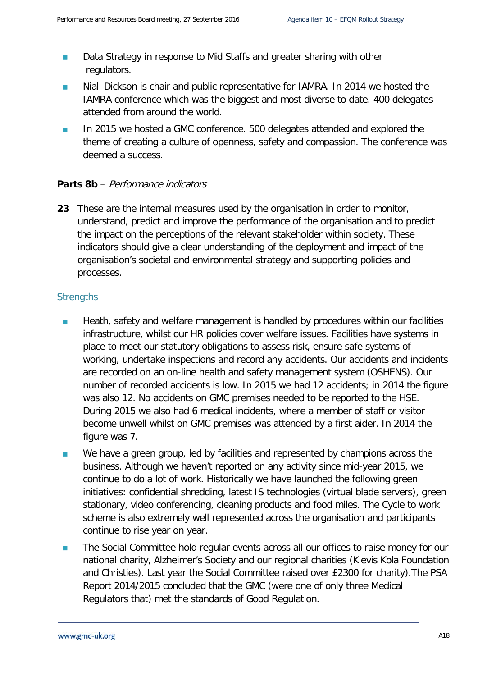- Data Strategy in response to Mid Staffs and greater sharing with other regulators.
- Niall Dickson is chair and public representative for IAMRA. In 2014 we hosted the IAMRA conference which was the biggest and most diverse to date. 400 delegates attended from around the world.
- In 2015 we hosted a GMC conference. 500 delegates attended and explored the theme of creating a culture of openness, safety and compassion. The conference was deemed a success.

#### **Parts 8b** – Performance indicators

**23** These are the internal measures used by the organisation in order to monitor, understand, predict and improve the performance of the organisation and to predict the impact on the perceptions of the relevant stakeholder within society. These indicators should give a clear understanding of the deployment and impact of the organisation's societal and environmental strategy and supporting policies and processes.

- **Heath, safety and welfare management is handled by procedures within our facilities** infrastructure, whilst our HR policies cover welfare issues. Facilities have systems in place to meet our statutory obligations to assess risk, ensure safe systems of working, undertake inspections and record any accidents. Our accidents and incidents are recorded on an on-line health and safety management system (OSHENS). Our number of recorded accidents is low. In 2015 we had 12 accidents; in 2014 the figure was also 12. No accidents on GMC premises needed to be reported to the HSE. During 2015 we also had 6 medical incidents, where a member of staff or visitor become unwell whilst on GMC premises was attended by a first aider. In 2014 the figure was 7.
- We have a green group, led by facilities and represented by champions across the business. Although we haven't reported on any activity since mid-year 2015, we continue to do a lot of work. Historically we have launched the following green initiatives: confidential shredding, latest IS technologies (virtual blade servers), green stationary, video conferencing, cleaning products and food miles. The Cycle to work scheme is also extremely well represented across the organisation and participants continue to rise year on year.
- **The Social Committee hold regular events across all our offices to raise money for our** national charity, Alzheimer's Society and our regional charities (Klevis Kola Foundation and Christies). Last year the Social Committee raised over £2300 for charity).The PSA Report 2014/2015 concluded that the GMC (were one of only three Medical Regulators that) met the standards of Good Regulation.